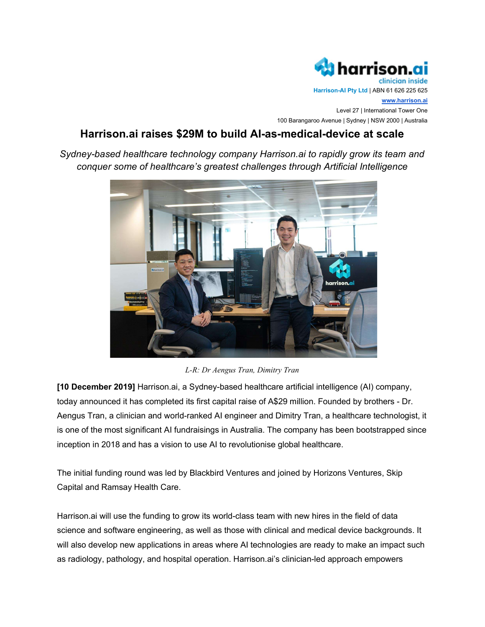

Harrison-AI Pty Ltd | ABN 61 626 225 625

www.harrison.ai Level 27 | International Tower One 100 Barangaroo Avenue | Sydney | NSW 2000 | Australia

# Harrison.ai raises \$29M to build AI-as-medical-device at scale

Sydney-based healthcare technology company Harrison.ai to rapidly grow its team and conquer some of healthcare's greatest challenges through Artificial Intelligence



L-R: Dr Aengus Tran, Dimitry Tran

[10 December 2019] Harrison.ai, a Sydney-based healthcare artificial intelligence (AI) company, today announced it has completed its first capital raise of A\$29 million. Founded by brothers - Dr. Aengus Tran, a clinician and world-ranked AI engineer and Dimitry Tran, a healthcare technologist, it is one of the most significant AI fundraisings in Australia. The company has been bootstrapped since inception in 2018 and has a vision to use AI to revolutionise global healthcare.

The initial funding round was led by Blackbird Ventures and joined by Horizons Ventures, Skip Capital and Ramsay Health Care.

Harrison.ai will use the funding to grow its world-class team with new hires in the field of data science and software engineering, as well as those with clinical and medical device backgrounds. It will also develop new applications in areas where AI technologies are ready to make an impact such as radiology, pathology, and hospital operation. Harrison.ai's clinician-led approach empowers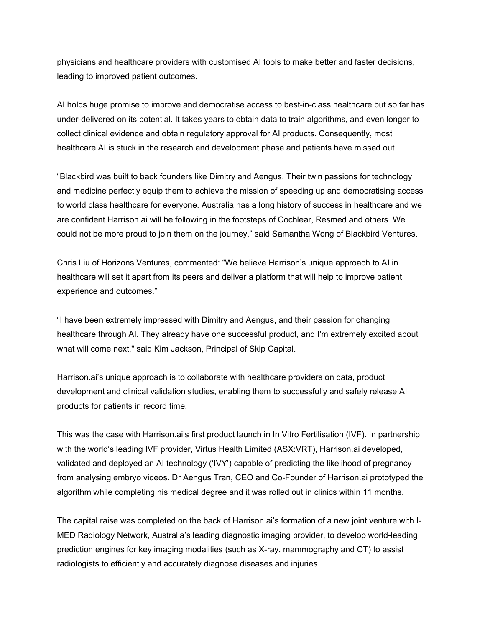physicians and healthcare providers with customised AI tools to make better and faster decisions, leading to improved patient outcomes.

AI holds huge promise to improve and democratise access to best-in-class healthcare but so far has under-delivered on its potential. It takes years to obtain data to train algorithms, and even longer to collect clinical evidence and obtain regulatory approval for AI products. Consequently, most healthcare AI is stuck in the research and development phase and patients have missed out.

"Blackbird was built to back founders like Dimitry and Aengus. Their twin passions for technology and medicine perfectly equip them to achieve the mission of speeding up and democratising access to world class healthcare for everyone. Australia has a long history of success in healthcare and we are confident Harrison.ai will be following in the footsteps of Cochlear, Resmed and others. We could not be more proud to join them on the journey," said Samantha Wong of Blackbird Ventures.

Chris Liu of Horizons Ventures, commented: "We believe Harrison's unique approach to AI in healthcare will set it apart from its peers and deliver a platform that will help to improve patient experience and outcomes."

"I have been extremely impressed with Dimitry and Aengus, and their passion for changing healthcare through AI. They already have one successful product, and I'm extremely excited about what will come next," said Kim Jackson, Principal of Skip Capital.

Harrison.ai's unique approach is to collaborate with healthcare providers on data, product development and clinical validation studies, enabling them to successfully and safely release AI products for patients in record time.

This was the case with Harrison.ai's first product launch in In Vitro Fertilisation (IVF). In partnership with the world's leading IVF provider, Virtus Health Limited (ASX:VRT), Harrison.ai developed, validated and deployed an AI technology ('IVY') capable of predicting the likelihood of pregnancy from analysing embryo videos. Dr Aengus Tran, CEO and Co-Founder of Harrison.ai prototyped the algorithm while completing his medical degree and it was rolled out in clinics within 11 months.

The capital raise was completed on the back of Harrison.ai's formation of a new joint venture with I-MED Radiology Network, Australia's leading diagnostic imaging provider, to develop world-leading prediction engines for key imaging modalities (such as X-ray, mammography and CT) to assist radiologists to efficiently and accurately diagnose diseases and injuries.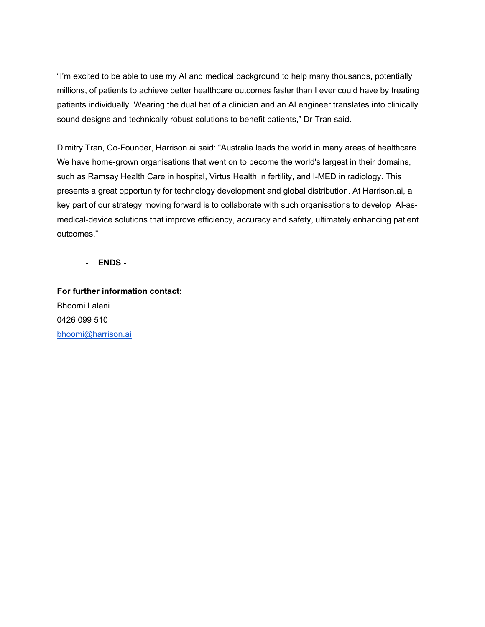"I'm excited to be able to use my AI and medical background to help many thousands, potentially millions, of patients to achieve better healthcare outcomes faster than I ever could have by treating patients individually. Wearing the dual hat of a clinician and an AI engineer translates into clinically sound designs and technically robust solutions to benefit patients," Dr Tran said.

Dimitry Tran, Co-Founder, Harrison.ai said: "Australia leads the world in many areas of healthcare. We have home-grown organisations that went on to become the world's largest in their domains, such as Ramsay Health Care in hospital, Virtus Health in fertility, and I-MED in radiology. This presents a great opportunity for technology development and global distribution. At Harrison.ai, a key part of our strategy moving forward is to collaborate with such organisations to develop AI-asmedical-device solutions that improve efficiency, accuracy and safety, ultimately enhancing patient outcomes."

- ENDS -

For further information contact: Bhoomi Lalani 0426 099 510 bhoomi@harrison.ai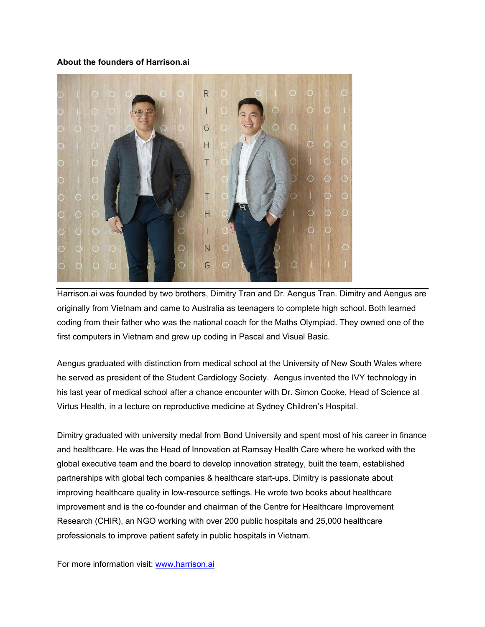#### About the founders of Harrison.ai



Harrison.ai was founded by two brothers, Dimitry Tran and Dr. Aengus Tran. Dimitry and Aengus are originally from Vietnam and came to Australia as teenagers to complete high school. Both learned coding from their father who was the national coach for the Maths Olympiad. They owned one of the first computers in Vietnam and grew up coding in Pascal and Visual Basic.

Aengus graduated with distinction from medical school at the University of New South Wales where he served as president of the Student Cardiology Society. Aengus invented the IVY technology in his last year of medical school after a chance encounter with Dr. Simon Cooke, Head of Science at Virtus Health, in a lecture on reproductive medicine at Sydney Children's Hospital.

Dimitry graduated with university medal from Bond University and spent most of his career in finance and healthcare. He was the Head of Innovation at Ramsay Health Care where he worked with the global executive team and the board to develop innovation strategy, built the team, established partnerships with global tech companies & healthcare start-ups. Dimitry is passionate about improving healthcare quality in low-resource settings. He wrote two books about healthcare improvement and is the co-founder and chairman of the Centre for Healthcare Improvement Research (CHIR), an NGO working with over 200 public hospitals and 25,000 healthcare professionals to improve patient safety in public hospitals in Vietnam.

For more information visit: www.harrison.ai